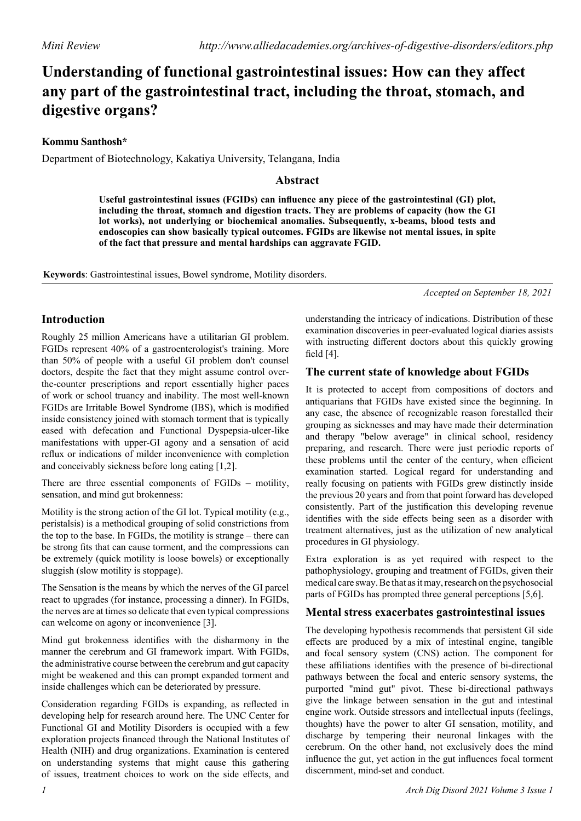# **Understanding of functional gastrointestinal issues: How can they affect any part of the gastrointestinal tract, including the throat, stomach, and digestive organs?**

**Kommu Santhosh\***

Department of Biotechnology, Kakatiya University, Telangana, India

## **Abstract**

**Useful gastrointestinal issues (FGIDs) can influence any piece of the gastrointestinal (GI) plot, including the throat, stomach and digestion tracts. They are problems of capacity (how the GI lot works), not underlying or biochemical anomalies. Subsequently, x-beams, blood tests and endoscopies can show basically typical outcomes. FGIDs are likewise not mental issues, in spite of the fact that pressure and mental hardships can aggravate FGID.**

**Keywords**: Gastrointestinal issues, Bowel syndrome, Motility disorders.

*Accepted on September 18, 2021*

## **Introduction**

Roughly 25 million Americans have a utilitarian GI problem. FGIDs represent 40% of a gastroenterologist's training. More than 50% of people with a useful GI problem don't counsel doctors, despite the fact that they might assume control overthe-counter prescriptions and report essentially higher paces of work or school truancy and inability. The most well-known FGIDs are Irritable Bowel Syndrome (IBS), which is modified inside consistency joined with stomach torment that is typically eased with defecation and Functional Dyspepsia-ulcer-like manifestations with upper-GI agony and a sensation of acid reflux or indications of milder inconvenience with completion and conceivably sickness before long eating [1,2].

There are three essential components of FGIDs – motility, sensation, and mind gut brokenness:

Motility is the strong action of the GI lot. Typical motility (e.g., peristalsis) is a methodical grouping of solid constrictions from the top to the base. In FGIDs, the motility is strange – there can be strong fits that can cause torment, and the compressions can be extremely (quick motility is loose bowels) or exceptionally sluggish (slow motility is stoppage).

The Sensation is the means by which the nerves of the GI parcel react to upgrades (for instance, processing a dinner). In FGIDs, the nerves are at times so delicate that even typical compressions can welcome on agony or inconvenience [3].

Mind gut brokenness identifies with the disharmony in the manner the cerebrum and GI framework impart. With FGIDs, the administrative course between the cerebrum and gut capacity might be weakened and this can prompt expanded torment and inside challenges which can be deteriorated by pressure.

Consideration regarding FGIDs is expanding, as reflected in developing help for research around here. The UNC Center for Functional GI and Motility Disorders is occupied with a few exploration projects financed through the National Institutes of Health (NIH) and drug organizations. Examination is centered on understanding systems that might cause this gathering of issues, treatment choices to work on the side effects, and

understanding the intricacy of indications. Distribution of these examination discoveries in peer-evaluated logical diaries assists with instructing different doctors about this quickly growing field [4].

## **The current state of knowledge about FGIDs**

It is protected to accept from compositions of doctors and antiquarians that FGIDs have existed since the beginning. In any case, the absence of recognizable reason forestalled their grouping as sicknesses and may have made their determination and therapy "below average" in clinical school, residency preparing, and research. There were just periodic reports of these problems until the center of the century, when efficient examination started. Logical regard for understanding and really focusing on patients with FGIDs grew distinctly inside the previous 20 years and from that point forward has developed consistently. Part of the justification this developing revenue identifies with the side effects being seen as a disorder with treatment alternatives, just as the utilization of new analytical procedures in GI physiology.

Extra exploration is as yet required with respect to the pathophysiology, grouping and treatment of FGIDs, given their medical care sway. Be that as it may, research on the psychosocial parts of FGIDs has prompted three general perceptions [5,6].

#### **Mental stress exacerbates gastrointestinal issues**

The developing hypothesis recommends that persistent GI side effects are produced by a mix of intestinal engine, tangible and focal sensory system (CNS) action. The component for these affiliations identifies with the presence of bi-directional pathways between the focal and enteric sensory systems, the purported "mind gut" pivot. These bi-directional pathways give the linkage between sensation in the gut and intestinal engine work. Outside stressors and intellectual inputs (feelings, thoughts) have the power to alter GI sensation, motility, and discharge by tempering their neuronal linkages with the cerebrum. On the other hand, not exclusively does the mind influence the gut, yet action in the gut influences focal torment discernment, mind-set and conduct.